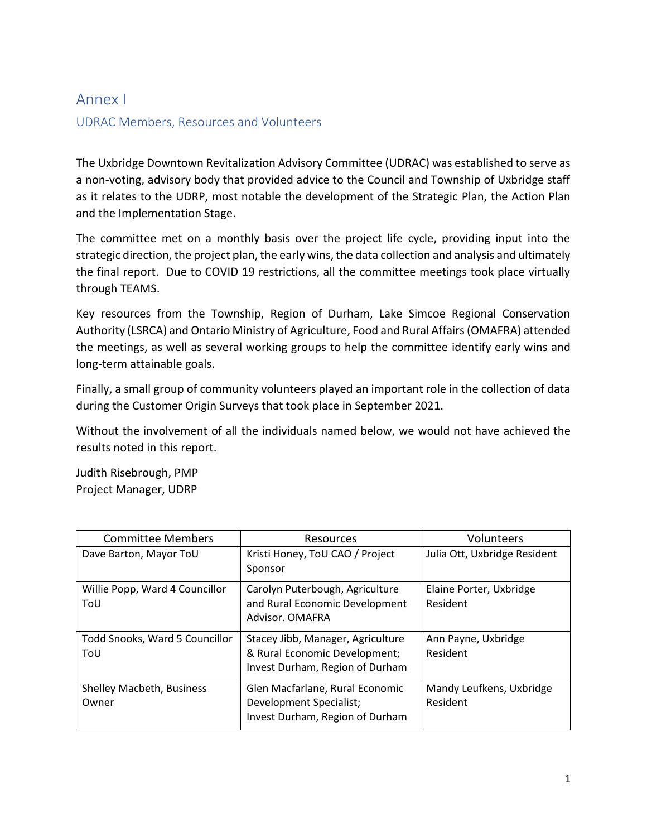## Annex I UDRAC Members, Resources and Volunteers

The Uxbridge Downtown Revitalization Advisory Committee (UDRAC) was established to serve as a non-voting, advisory body that provided advice to the Council and Township of Uxbridge staff as it relates to the UDRP, most notable the development of the Strategic Plan, the Action Plan and the Implementation Stage.

The committee met on a monthly basis over the project life cycle, providing input into the strategic direction, the project plan, the early wins, the data collection and analysis and ultimately the final report. Due to COVID 19 restrictions, all the committee meetings took place virtually through TEAMS.

Key resources from the Township, Region of Durham, Lake Simcoe Regional Conservation Authority (LSRCA) and Ontario Ministry of Agriculture, Food and Rural Affairs(OMAFRA) attended the meetings, as well as several working groups to help the committee identify early wins and long-term attainable goals.

Finally, a small group of community volunteers played an important role in the collection of data during the Customer Origin Surveys that took place in September 2021.

Without the involvement of all the individuals named below, we would not have achieved the results noted in this report.

Judith Risebrough, PMP Project Manager, UDRP

| <b>Committee Members</b>              | Resources                                                                                             | Volunteers                           |
|---------------------------------------|-------------------------------------------------------------------------------------------------------|--------------------------------------|
| Dave Barton, Mayor ToU                | Kristi Honey, ToU CAO / Project<br>Sponsor                                                            | Julia Ott, Uxbridge Resident         |
| Willie Popp, Ward 4 Councillor<br>ToU | Carolyn Puterbough, Agriculture<br>and Rural Economic Development<br>Advisor, OMAFRA                  | Elaine Porter, Uxbridge<br>Resident  |
| Todd Snooks, Ward 5 Councillor<br>ToU | Stacey Jibb, Manager, Agriculture<br>& Rural Economic Development;<br>Invest Durham, Region of Durham | Ann Payne, Uxbridge<br>Resident      |
| Shelley Macbeth, Business<br>Owner    | Glen Macfarlane, Rural Economic<br>Development Specialist;<br>Invest Durham, Region of Durham         | Mandy Leufkens, Uxbridge<br>Resident |